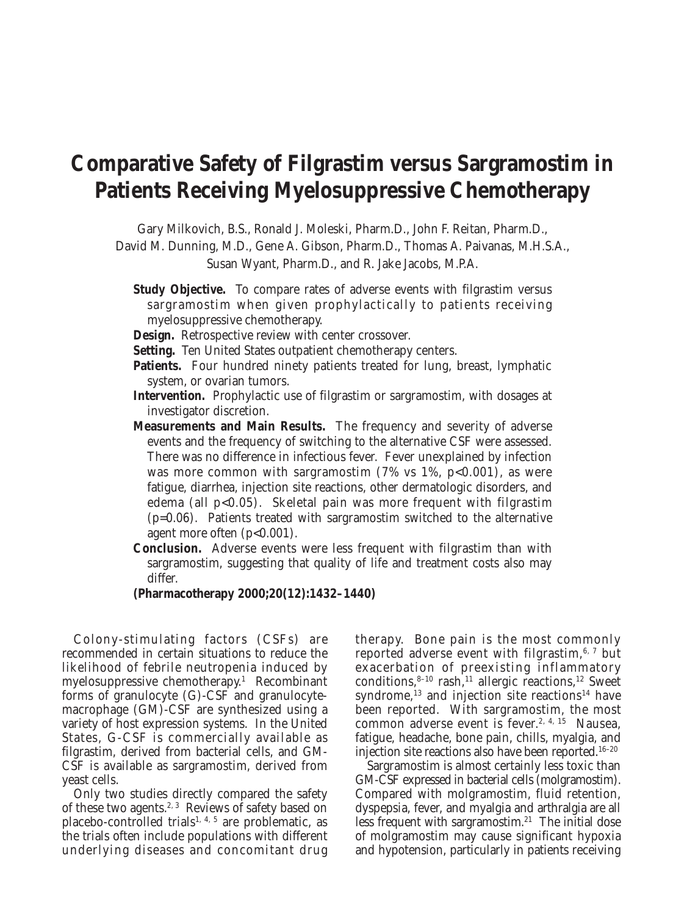# **Comparative Safety of Filgrastim versus Sargramostim in Patients Receiving Myelosuppressive Chemotherapy**

Gary Milkovich, B.S., Ronald J. Moleski, Pharm.D., John F. Reitan, Pharm.D.,

David M. Dunning, M.D., Gene A. Gibson, Pharm.D., Thomas A. Paivanas, M.H.S.A., Susan Wyant, Pharm.D., and R. Jake Jacobs, M.P.A.

- **Study Objective.** To compare rates of adverse events with filgrastim versus sargramostim when given prophylactically to patients receiving myelosuppressive chemotherapy.
- **Design.** Retrospective review with center crossover.
- **Setting.** Ten United States outpatient chemotherapy centers.
- Patients. Four hundred ninety patients treated for lung, breast, lymphatic system, or ovarian tumors.
- **Intervention.** Prophylactic use of filgrastim or sargramostim, with dosages at investigator discretion.
- **Measurements and Main Results.** The frequency and severity of adverse events and the frequency of switching to the alternative CSF were assessed. There was no difference in infectious fever. Fever unexplained by infection was more common with sargramostim  $(7\% \text{ vs } 1\%, \text{ p<0.001})$ , as were fatigue, diarrhea, injection site reactions, other dermatologic disorders, and edema (all p<0.05). Skeletal pain was more frequent with filgrastim (p=0.06). Patients treated with sargramostim switched to the alternative agent more often (p<0.001).
- **Conclusion.** Adverse events were less frequent with filgrastim than with sargramostim, suggesting that quality of life and treatment costs also may differ.

**(Pharmacotherapy 2000;20(12):1432–1440)**

Colony-stimulating factors (CSFs) are recommended in certain situations to reduce the likelihood of febrile neutropenia induced by myelosuppressive chemotherapy.1 Recombinant forms of granulocyte (G)-CSF and granulocytemacrophage (GM)-CSF are synthesized using a variety of host expression systems. In the United States, G-CSF is commercially available as filgrastim, derived from bacterial cells, and GM-CSF is available as sargramostim, derived from yeast cells.

Only two studies directly compared the safety of these two agents.<sup>2, 3</sup> Reviews of safety based on placebo-controlled trials<sup>1, 4, 5</sup> are problematic, as the trials often include populations with different underlying diseases and concomitant drug therapy. Bone pain is the most commonly reported adverse event with filgrastim, $6, 7$  but exacerbation of preexisting inflammatory conditions, $8-10$  rash, $11$  allergic reactions,  $12$  Sweet syndrome, $^{13}$  and injection site reactions<sup>14</sup> have been reported. With sargramostim, the most common adverse event is fever.<sup>2, 4, 15</sup> Nausea, fatigue, headache, bone pain, chills, myalgia, and injection site reactions also have been reported.<sup>16-20</sup>

Sargramostim is almost certainly less toxic than GM-CSF expressed in bacterial cells (molgramostim). Compared with molgramostim, fluid retention, dyspepsia, fever, and myalgia and arthralgia are all less frequent with sargramostim. $21$  The initial dose of molgramostim may cause significant hypoxia and hypotension, particularly in patients receiving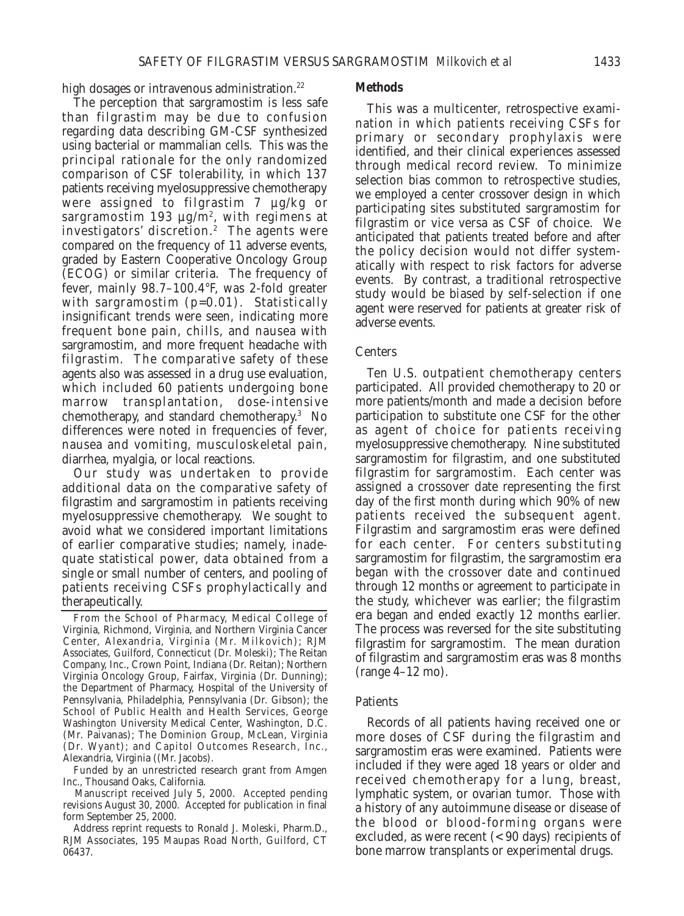high dosages or intravenous administration.<sup>22</sup>

The perception that sargramostim is less safe than filgrastim may be due to confusion regarding data describing GM-CSF synthesized using bacterial or mammalian cells. This was the principal rationale for the only randomized comparison of CSF tolerability, in which 137 patients receiving myelosuppressive chemotherapy were assigned to filgrastim 7 µg/kg or sargramostim 193  $\mu$ g/m<sup>2</sup>, with regimens at investigators' discretion.<sup>2</sup> The agents were compared on the frequency of 11 adverse events, graded by Eastern Cooperative Oncology Group (ECOG) or similar criteria. The frequency of fever, mainly 98.7–100.4°F, was 2-fold greater with sargramostim (p=0.01). Statistically insignificant trends were seen, indicating more frequent bone pain, chills, and nausea with sargramostim, and more frequent headache with filgrastim. The comparative safety of these agents also was assessed in a drug use evaluation, which included 60 patients undergoing bone marrow transplantation, dose-intensive chemotherapy, and standard chemotherapy.3 No differences were noted in frequencies of fever, nausea and vomiting, musculoskeletal pain, diarrhea, myalgia, or local reactions.

Our study was undertaken to provide additional data on the comparative safety of filgrastim and sargramostim in patients receiving myelosuppressive chemotherapy. We sought to avoid what we considered important limitations of earlier comparative studies; namely, inadequate statistical power, data obtained from a single or small number of centers, and pooling of patients receiving CSFs prophylactically and therapeutically.

From the School of Pharmacy, Medical College of Virginia, Richmond, Virginia, and Northern Virginia Cancer Center, Alexandria, Virginia (Mr. Milkovich); RJM Associates, Guilford, Connecticut (Dr. Moleski); The Reitan Company, Inc., Crown Point, Indiana (Dr. Reitan); Northern Virginia Oncology Group, Fairfax, Virginia (Dr. Dunning); the Department of Pharmacy, Hospital of the University of Pennsylvania, Philadelphia, Pennsylvania (Dr. Gibson); the School of Public Health and Health Services, George Washington University Medical Center, Washington, D.C. (Mr. Paivanas); The Dominion Group, McLean, Virginia (Dr. Wyant); and Capitol Outcomes Research, Inc., Alexandria, Virginia ((Mr. Jacobs).

Funded by an unrestricted research grant from Amgen Inc., Thousand Oaks, California.

Manuscript received July 5, 2000. Accepted pending revisions August 30, 2000. Accepted for publication in final form September 25, 2000.

Address reprint requests to Ronald J. Moleski, Pharm.D., RJM Associates, 195 Maupas Road North, Guilford, CT 06437.

#### **Methods**

This was a multicenter, retrospective examination in which patients receiving CSFs for primary or secondary prophylaxis were identified, and their clinical experiences assessed through medical record review. To minimize selection bias common to retrospective studies, we employed a center crossover design in which participating sites substituted sargramostim for filgrastim or vice versa as CSF of choice. We anticipated that patients treated before and after the policy decision would not differ systematically with respect to risk factors for adverse events. By contrast, a traditional retrospective study would be biased by self-selection if one agent were reserved for patients at greater risk of adverse events.

# Centers

Ten U.S. outpatient chemotherapy centers participated. All provided chemotherapy to 20 or more patients/month and made a decision before participation to substitute one CSF for the other as agent of choice for patients receiving myelosuppressive chemotherapy. Nine substituted sargramostim for filgrastim, and one substituted filgrastim for sargramostim. Each center was assigned a crossover date representing the first day of the first month during which 90% of new patients received the subsequent agent. Filgrastim and sargramostim eras were defined for each center. For centers substituting sargramostim for filgrastim, the sargramostim era began with the crossover date and continued through 12 months or agreement to participate in the study, whichever was earlier; the filgrastim era began and ended exactly 12 months earlier. The process was reversed for the site substituting filgrastim for sargramostim. The mean duration of filgrastim and sargramostim eras was 8 months (range 4–12 mo).

# Patients

Records of all patients having received one or more doses of CSF during the filgrastim and sargramostim eras were examined. Patients were included if they were aged 18 years or older and received chemotherapy for a lung, breast, lymphatic system, or ovarian tumor. Those with a history of any autoimmune disease or disease of the blood or blood-forming organs were excluded, as were recent (< 90 days) recipients of bone marrow transplants or experimental drugs.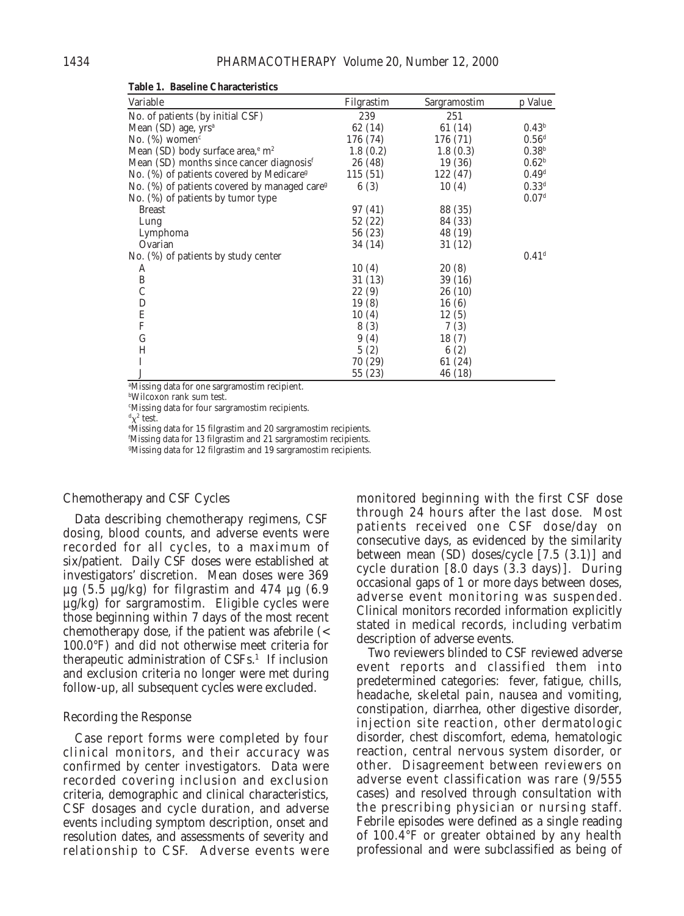| Variable                                                 | Filgrastim | Sargramostim | p Value             |
|----------------------------------------------------------|------------|--------------|---------------------|
| No. of patients (by initial CSF)                         | 239        | 251          |                     |
| Mean $(SD)$ age, $yrs^a$                                 | 62 (14)    | 61 (14)      | 0.43 <sup>b</sup>   |
| No. $(\%)$ women <sup>c</sup>                            | 176 (74)   | 176 (71)     | 0.56 <sup>d</sup>   |
| Mean (SD) body surface area, <sup>e</sup> m <sup>2</sup> | 1.8(0.2)   | 1.8(0.3)     | 0.38 <sup>b</sup>   |
| Mean (SD) months since cancer diagnosis <sup>f</sup>     | 26 (48)    | 19(36)       | 0.62 <sup>b</sup>   |
| No. (%) of patients covered by Medicare <sup>g</sup>     | 115(51)    | 122 (47)     | 0.49 <sup>d</sup>   |
| No. (%) of patients covered by managed care <sup>g</sup> | 6(3)       | 10(4)        | 0.33 <sup>d</sup>   |
| No. (%) of patients by tumor type                        |            |              | 0.07 <sup>d</sup>   |
| <b>Breast</b>                                            | 97 (41)    | 88 (35)      |                     |
| Lung                                                     | 52 (22)    | 84 (33)      |                     |
| Lymphoma                                                 | 56 (23)    | 48 (19)      |                     |
| Ovarian                                                  | 34 (14)    | 31 (12)      |                     |
| No. (%) of patients by study center                      |            |              | $0.41$ <sup>d</sup> |
| A                                                        | 10(4)      | 20(8)        |                     |
| $\, {\bf B}$                                             | 31 (13)    | 39 (16)      |                     |
| $\mathcal{C}$                                            | 22(9)      | 26(10)       |                     |
| D                                                        | 19(8)      | 16(6)        |                     |
| E                                                        | 10(4)      | 12(5)        |                     |
| ${\bf F}$                                                | 8 (3)      | 7(3)         |                     |
| G                                                        | 9(4)       | 18(7)        |                     |
| Η                                                        | 5(2)       | 6(2)         |                     |
| I                                                        | 70 (29)    | 61 (24)      |                     |
| $\bf J$                                                  | 55 (23)    | 46 (18)      |                     |

**Table 1. Baseline Characteristics**

a Missing data for one sargramostim recipient.

b Wilcoxon rank sum test.

c Missing data for four sargramostim recipients.

 $\mathrm{^{d}\chi^{2}}$  test.

e Missing data for 15 filgrastim and 20 sargramostim recipients. f Missing data for 13 filgrastim and 21 sargramostim recipients.

g Missing data for 12 filgrastim and 19 sargramostim recipients.

# Chemotherapy and CSF Cycles

Data describing chemotherapy regimens, CSF dosing, blood counts, and adverse events were recorded for all cycles, to a maximum of six/patient. Daily CSF doses were established at investigators' discretion. Mean doses were 369  $\mu$ g (5.5  $\mu$ g/kg) for filgrastim and 474  $\mu$ g (6.9 µg/kg) for sargramostim. Eligible cycles were those beginning within 7 days of the most recent chemotherapy dose, if the patient was afebrile (< 100.0°F) and did not otherwise meet criteria for therapeutic administration of  $CSFs<sup>1</sup>$ . If inclusion and exclusion criteria no longer were met during follow-up, all subsequent cycles were excluded.

#### Recording the Response

Case report forms were completed by four clinical monitors, and their accuracy was confirmed by center investigators. Data were recorded covering inclusion and exclusion criteria, demographic and clinical characteristics, CSF dosages and cycle duration, and adverse events including symptom description, onset and resolution dates, and assessments of severity and relationship to CSF. Adverse events were monitored beginning with the first CSF dose through 24 hours after the last dose. Most patients received one CSF dose/day on consecutive days, as evidenced by the similarity between mean (SD) doses/cycle [7.5 (3.1)] and cycle duration [8.0 days (3.3 days)]. During occasional gaps of 1 or more days between doses, adverse event monitoring was suspended. Clinical monitors recorded information explicitly stated in medical records, including verbatim description of adverse events.

Two reviewers blinded to CSF reviewed adverse event reports and classified them into predetermined categories: fever, fatigue, chills, headache, skeletal pain, nausea and vomiting, constipation, diarrhea, other digestive disorder, injection site reaction, other dermatologic disorder, chest discomfort, edema, hematologic reaction, central nervous system disorder, or other. Disagreement between reviewers on adverse event classification was rare (9/555 cases) and resolved through consultation with the prescribing physician or nursing staff. Febrile episodes were defined as a single reading of 100.4°F or greater obtained by any health professional and were subclassified as being of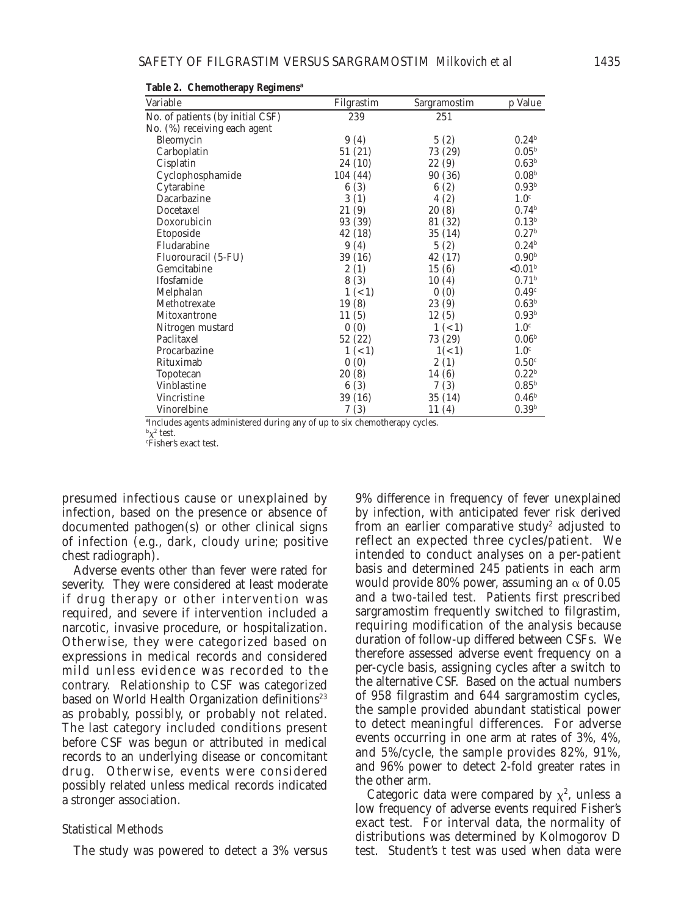| Variable                         | Filgrastim | Sargramostim | p Value                |
|----------------------------------|------------|--------------|------------------------|
| No. of patients (by initial CSF) | 239        | 251          |                        |
| No. (%) receiving each agent     |            |              |                        |
| Bleomycin                        | 9(4)       | 5(2)         | 0.24 <sup>b</sup>      |
| Carboplatin                      | 51 (21)    | 73 (29)      | $0.05^{\rm b}$         |
| Cisplatin                        | 24 (10)    | 22(9)        | 0.63 <sup>b</sup>      |
| Cyclophosphamide                 | 104 (44)   | 90 (36)      | 0.08 <sup>b</sup>      |
| Cytarabine                       | 6(3)       | 6(2)         | 0.93 <sup>b</sup>      |
| Dacarbazine                      | 3(1)       | 4(2)         | 1.0 <sup>c</sup>       |
| Docetaxel                        | 21(9)      | 20(8)        | 0.74 <sup>b</sup>      |
| Doxorubicin                      | 93 (39)    | 81 (32)      | 0.13 <sup>b</sup>      |
| Etoposide                        | 42 (18)    | 35 (14)      | 0.27 <sup>b</sup>      |
| Fludarabine                      | 9(4)       | 5(2)         | 0.24 <sup>b</sup>      |
| Fluorouracil (5-FU)              | 39 (16)    | 42 (17)      | 0.90 <sup>b</sup>      |
| Gemcitabine                      | 2(1)       | 15(6)        | ${<}0.01$ <sup>b</sup> |
| Ifosfamide                       | 8(3)       | 10(4)        | 0.71 <sup>b</sup>      |
| Melphalan                        | 1 (< 1)    | 0(0)         | 0.49 <sup>c</sup>      |
| Methotrexate                     | 19(8)      | 23(9)        | 0.63 <sup>b</sup>      |
| Mitoxantrone                     | 11(5)      | 12(5)        | 0.93 <sup>b</sup>      |
| Nitrogen mustard                 | 0(0)       | 1 (< 1)      | 1.0 <sup>c</sup>       |
| Paclitaxel                       | 52 (22)    | 73 (29)      | 0.06 <sup>b</sup>      |
| Procarbazine                     | 1 (< 1)    | 1(< 1)       | 1.0 <sup>c</sup>       |
| Rituximab                        | 0(0)       | 2(1)         | 0.50 <sup>c</sup>      |
| <b>Topotecan</b>                 | 20(8)      | 14 (6)       | 0.22 <sup>b</sup>      |
| <b>Vinblastine</b>               | 6(3)       | 7(3)         | 0.85 <sup>b</sup>      |
| Vincristine                      | 39 (16)    | 35 (14)      | 0.46 <sup>b</sup>      |
| Vinorelbine                      | 7(3)       | 11(4)        | 0.39 <sup>b</sup>      |

**Table 2. Chemotherapy Regimensa**

a Includes agents administered during any of up to six chemotherapy cycles.

 $\frac{b}{\chi^2}$  test.

c Fisher's exact test.

presumed infectious cause or unexplained by infection, based on the presence or absence of documented pathogen(s) or other clinical signs of infection (e.g., dark, cloudy urine; positive chest radiograph).

Adverse events other than fever were rated for severity. They were considered at least moderate if drug therapy or other intervention was required, and severe if intervention included a narcotic, invasive procedure, or hospitalization. Otherwise, they were categorized based on expressions in medical records and considered mild unless evidence was recorded to the contrary. Relationship to CSF was categorized based on World Health Organization definitions<sup>23</sup> as probably, possibly, or probably not related. The last category included conditions present before CSF was begun or attributed in medical records to an underlying disease or concomitant drug. Otherwise, events were considered possibly related unless medical records indicated a stronger association.

#### Statistical Methods

The study was powered to detect a 3% versus

9% difference in frequency of fever unexplained by infection, with anticipated fever risk derived from an earlier comparative study<sup>2</sup> adjusted to reflect an expected three cycles/patient. We intended to conduct analyses on a per-patient basis and determined 245 patients in each arm would provide 80% power, assuming an  $\alpha$  of 0.05 and a two-tailed test. Patients first prescribed sargramostim frequently switched to filgrastim, requiring modification of the analysis because duration of follow-up differed between CSFs. We therefore assessed adverse event frequency on a per-cycle basis, assigning cycles after a switch to the alternative CSF. Based on the actual numbers of 958 filgrastim and 644 sargramostim cycles, the sample provided abundant statistical power to detect meaningful differences. For adverse events occurring in one arm at rates of 3%, 4%, and 5%/cycle, the sample provides 82%, 91%, and 96% power to detect 2-fold greater rates in the other arm.

Categoric data were compared by  $\chi^2$ , unless a low frequency of adverse events required Fisher's exact test. For interval data, the normality of distributions was determined by Kolmogorov D test. Student's *t* test was used when data were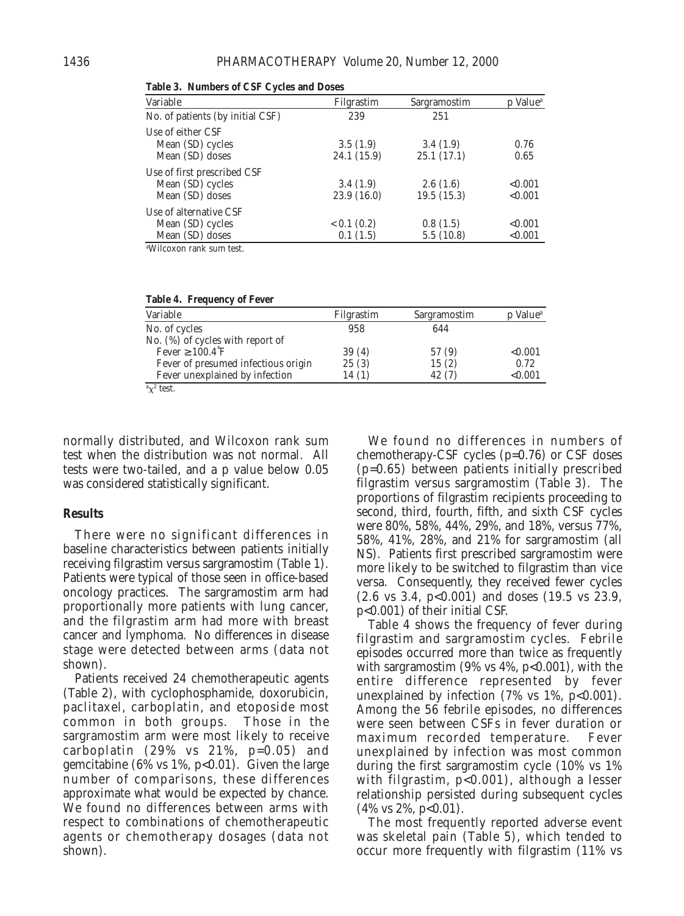| Variable                                                           | Filgrastim              | Sargramostim           | p Value <sup>a</sup> |
|--------------------------------------------------------------------|-------------------------|------------------------|----------------------|
| No. of patients (by initial CSF)                                   | 239                     | 251                    |                      |
| Use of either CSF<br>Mean (SD) cycles<br>Mean (SD) doses           | 3.5(1.9)<br>24.1 (15.9) | 3.4(1.9)<br>25.1(17.1) | 0.76<br>0.65         |
| Use of first prescribed CSF<br>Mean (SD) cycles<br>Mean (SD) doses | 3.4(1.9)<br>23.9(16.0)  | 2.6(1.6)<br>19.5(15.3) | < 0.001<br>< 0.001   |
| Use of alternative CSF<br>Mean (SD) cycles<br>Mean (SD) doses      | 0.1(0.2)<br>0.1(1.5)    | 0.8(1.5)<br>5.5(10.8)  | < 0.001<br>< 0.001   |

**Table 3. Numbers of CSF Cycles and Doses**

a Wilcoxon rank sum test.

| Table 4. Frequency of Fever         |            |              |                      |
|-------------------------------------|------------|--------------|----------------------|
| Variable                            | Filgrastim | Sargramostim | p Value <sup>a</sup> |
| No. of cycles                       | 958        | 644          |                      |
| No. (%) of cycles with report of    |            |              |                      |
| Fever $\geq 100.4$ F                | 39(4)      | 57 (9)       | < 0.001              |
| Fever of presumed infectious origin | 25(3)      | 15(2)        | 0.72                 |
| Fever unexplained by infection      | 14(1)      | 42 (7)       | < 0.001              |
| $\alpha$ <sup>2</sup> test.         |            |              |                      |

normally distributed, and Wilcoxon rank sum test when the distribution was not normal. All tests were two-tailed, and a p value below 0.05 was considered statistically significant.

# **Results**

There were no significant differences in baseline characteristics between patients initially receiving filgrastim versus sargramostim (Table 1). Patients were typical of those seen in office-based oncology practices. The sargramostim arm had proportionally more patients with lung cancer, and the filgrastim arm had more with breast cancer and lymphoma. No differences in disease stage were detected between arms (data not shown).

Patients received 24 chemotherapeutic agents (Table 2), with cyclophosphamide, doxorubicin, paclitaxel, carboplatin, and etoposide most common in both groups. Those in the sargramostim arm were most likely to receive carboplatin (29% vs 21%, p=0.05) and gemcitabine (6% vs 1%, p<0.01). Given the large number of comparisons, these differences approximate what would be expected by chance. We found no differences between arms with respect to combinations of chemotherapeutic agents or chemotherapy dosages (data not shown).

We found no differences in numbers of chemotherapy-CSF cycles (p=0.76) or CSF doses (p=0.65) between patients initially prescribed filgrastim versus sargramostim (Table 3). The proportions of filgrastim recipients proceeding to second, third, fourth, fifth, and sixth CSF cycles were 80%, 58%, 44%, 29%, and 18%, versus 77%, 58%, 41%, 28%, and 21% for sargramostim (all NS). Patients first prescribed sargramostim were more likely to be switched to filgrastim than vice versa. Consequently, they received fewer cycles (2.6 vs 3.4, p<0.001) and doses (19.5 vs 23.9, p<0.001) of their initial CSF.

Table 4 shows the frequency of fever during filgrastim and sargramostim cycles. Febrile episodes occurred more than twice as frequently with sargramostim  $(9\% \text{ vs } 4\%, \text{ p<0.001})$ , with the entire difference represented by fever unexplained by infection  $(7\% \text{ vs } 1\%, \text{ p}<0.001)$ . Among the 56 febrile episodes, no differences were seen between CSFs in fever duration or maximum recorded temperature. Fever unexplained by infection was most common during the first sargramostim cycle (10% vs 1% with filgrastim, p<0.001), although a lesser relationship persisted during subsequent cycles  $(4\% \text{ vs } 2\%, \text{ p<0.01}).$ 

The most frequently reported adverse event was skeletal pain (Table 5), which tended to occur more frequently with filgrastim (11% vs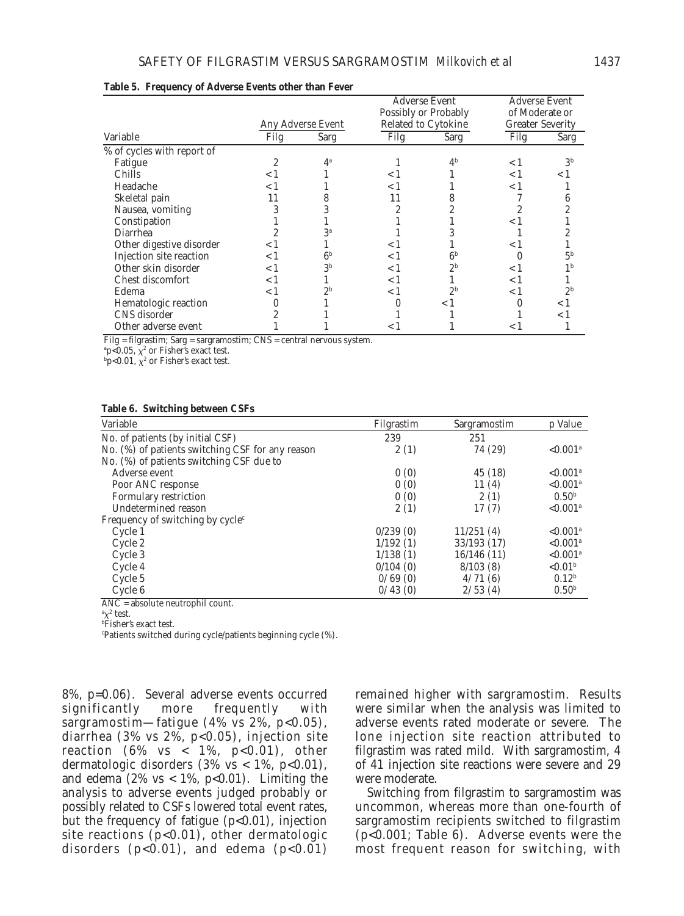|                            |                   |                | <b>Adverse Event</b><br>Possibly or Probably |                | <b>Adverse Event</b><br>of Moderate or |                |
|----------------------------|-------------------|----------------|----------------------------------------------|----------------|----------------------------------------|----------------|
|                            | Any Adverse Event |                | <b>Related to Cytokine</b>                   |                | <b>Greater Severity</b>                |                |
| Variable                   | Filg              | Sarg           | Filg                                         | Sarg           | Filg                                   | Sarg           |
| % of cycles with report of |                   |                |                                              |                |                                        |                |
| Fatigue                    |                   | $4^a$          |                                              | 4 <sup>b</sup> | < 1                                    | 3 <sup>b</sup> |
| Chills                     | < 1               |                | $\lt 1$                                      |                | < 1                                    | < 1            |
| Headache                   | < 1               |                | < 1                                          |                | < 1                                    |                |
| Skeletal pain              |                   | 8              |                                              | 8              |                                        | n              |
| Nausea, vomiting           | 3                 |                | 2                                            |                |                                        |                |
| Constipation               |                   |                |                                              |                | < 1                                    |                |
| Diarrhea                   |                   | 3ª             |                                              |                |                                        |                |
| Other digestive disorder   | < 1               |                | < 1                                          |                | < 1                                    |                |
| Injection site reaction    | ا >               | 6 <sup>b</sup> | < 1                                          | 6 <sup>b</sup> |                                        | 5 <sup>b</sup> |
| Other skin disorder        | ا >               | 3 <sup>b</sup> | < 1                                          | 2 <sup>b</sup> | < 1                                    |                |
| Chest discomfort           | < 1               |                | < 1                                          |                | < 1                                    |                |
| Edema                      | 1 >               | 2 <sub>b</sub> | < 1                                          | 2 <sub>b</sub> | < 1                                    | 2 <sup>b</sup> |
| Hematologic reaction       |                   |                |                                              | < 1            |                                        | ا >            |
| CNS disorder               | 2                 |                |                                              |                |                                        | ا >            |
| Other adverse event        |                   |                | < 1                                          |                | $\leq$ 1                               |                |

#### **Table 5. Frequency of Adverse Events other than Fever**

Filg = filgrastim; Sarg = sargramostim; CNS = central nervous system.

 $\mathrm{^{a}p}$ <0.05,  $\chi^{2}$  or Fisher's exact test.

 $_{\rm ^{b}p< 0.01,\;\chi^2}$  or Fisher's exact test.

#### **Table 6. Switching between CSFs**

| Variable                                         | Filgrastim | Sargramostim | p Value                 |
|--------------------------------------------------|------------|--------------|-------------------------|
| No. of patients (by initial CSF)                 | 239        | 251          |                         |
| No. (%) of patients switching CSF for any reason | 2(1)       | 74 (29)      | ${<}0.001$ <sup>a</sup> |
| No. (%) of patients switching CSF due to         |            |              |                         |
| Adverse event                                    | 0(0)       | 45 (18)      | $< 0.001$ <sup>a</sup>  |
| Poor ANC response                                | 0(0)       | 11(4)        | $< 0.001$ <sup>a</sup>  |
| Formulary restriction                            | 0(0)       | 2(1)         | 0.50 <sup>b</sup>       |
| Undetermined reason                              | 2(1)       | 17(7)        | $< 0.001$ <sup>a</sup>  |
| Frequency of switching by $cyclec$               |            |              |                         |
| Cycle 1                                          | 0/239(0)   | 11/251(4)    | $< 0.001$ <sup>a</sup>  |
| Cycle 2                                          | 1/192(1)   | 33/193 (17)  | $< 0.001$ <sup>a</sup>  |
| Cycle 3                                          | 1/138(1)   | 16/146(11)   | ${<}0.001$ <sup>a</sup> |
| Cycle 4                                          | 0/104(0)   | 8/103(8)     | ${<}0.01b$              |
| Cycle 5                                          | 0/69(0)    | 4/71(6)      | $0.12^{b}$              |
| Cycle 6                                          | 0/43(0)    | 2/53(4)      | 0.50 <sup>b</sup>       |

ANC = absolute neutrophil count.

 $\alpha^2$  test.

b Fisher's exact test.

c Patients switched during cycle/patients beginning cycle (%).

8%, p=0.06). Several adverse events occurred significantly more frequently with sargramostim—fatigue  $(4\% \text{ vs } 2\%, \text{ p}<0.05)$ , diarrhea (3% vs 2%, p<0.05), injection site reaction  $(6\% \text{ vs } < 1\% , \text{ p<0.01}), \text{ other}$ dermatologic disorders  $(3\% \text{ vs } < 1\%, \text{ p}<0.01)$ , and edema  $(2\% \text{ vs } < 1\%, \text{ p}<0.01)$ . Limiting the analysis to adverse events judged probably or possibly related to CSFs lowered total event rates, but the frequency of fatigue  $(p<0.01)$ , injection site reactions (p<0.01), other dermatologic disorders  $(p<0.01)$ , and edema  $(p<0.01)$ 

remained higher with sargramostim. Results were similar when the analysis was limited to adverse events rated moderate or severe. The lone injection site reaction attributed to filgrastim was rated mild. With sargramostim, 4 of 41 injection site reactions were severe and 29 were moderate.

Switching from filgrastim to sargramostim was uncommon, whereas more than one-fourth of sargramostim recipients switched to filgrastim (p<0.001; Table 6). Adverse events were the most frequent reason for switching, with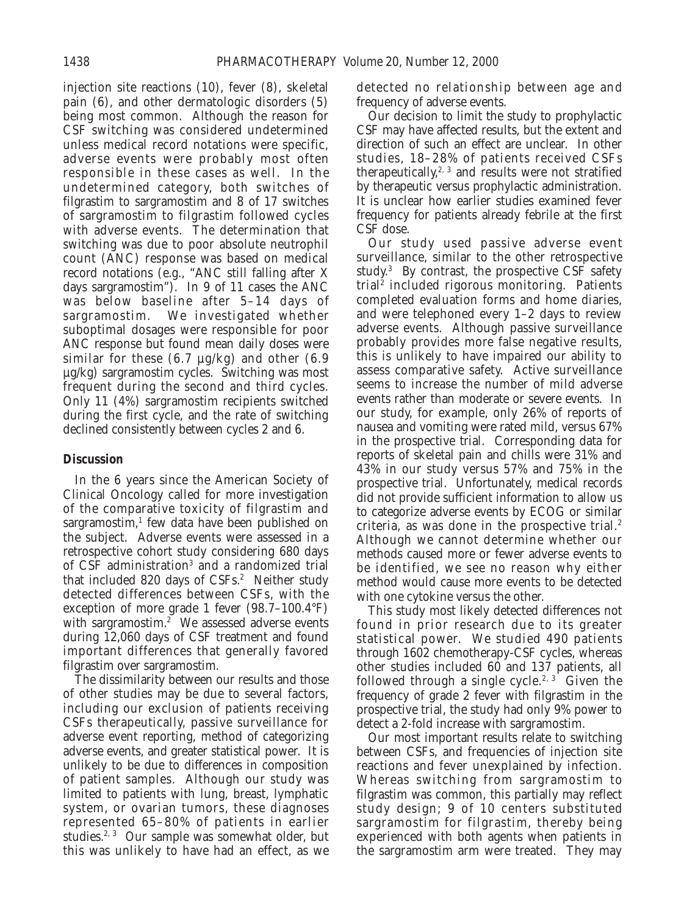injection site reactions (10), fever (8), skeletal pain (6), and other dermatologic disorders (5) being most common. Although the reason for CSF switching was considered undetermined unless medical record notations were specific, adverse events were probably most often responsible in these cases as well. In the undetermined category, both switches of filgrastim to sargramostim and 8 of 17 switches of sargramostim to filgrastim followed cycles with adverse events. The determination that switching was due to poor absolute neutrophil count (ANC) response was based on medical record notations (e.g., "ANC still falling after X days sargramostim"). In 9 of 11 cases the ANC was below baseline after 5–14 days of sargramostim. We investigated whether suboptimal dosages were responsible for poor ANC response but found mean daily doses were similar for these  $(6.7 \mu g/kg)$  and other  $(6.9 \mu g/kg)$ µg/kg) sargramostim cycles. Switching was most frequent during the second and third cycles. Only 11 (4%) sargramostim recipients switched during the first cycle, and the rate of switching declined consistently between cycles 2 and 6.

# **Discussion**

In the 6 years since the American Society of Clinical Oncology called for more investigation of the comparative toxicity of filgrastim and sargramostim, $<sup>1</sup>$  few data have been published on</sup> the subject. Adverse events were assessed in a retrospective cohort study considering 680 days of CSF administration<sup>3</sup> and a randomized trial that included 820 days of CSFs.<sup>2</sup> Neither study detected differences between CSFs, with the exception of more grade 1 fever (98.7–100.4°F) with sargramostim.<sup>2</sup> We assessed adverse events during 12,060 days of CSF treatment and found important differences that generally favored filgrastim over sargramostim.

The dissimilarity between our results and those of other studies may be due to several factors, including our exclusion of patients receiving CSFs therapeutically, passive surveillance for adverse event reporting, method of categorizing adverse events, and greater statistical power. It is unlikely to be due to differences in composition of patient samples. Although our study was limited to patients with lung, breast, lymphatic system, or ovarian tumors, these diagnoses represented 65–80% of patients in earlier studies.<sup>2, 3</sup> Our sample was somewhat older, but this was unlikely to have had an effect, as we

detected no relationship between age and frequency of adverse events.

Our decision to limit the study to prophylactic CSF may have affected results, but the extent and direction of such an effect are unclear. In other studies, 18–28% of patients received CSFs therapeutically, $2, 3$  and results were not stratified by therapeutic versus prophylactic administration. It is unclear how earlier studies examined fever frequency for patients already febrile at the first CSF dose.

Our study used passive adverse event surveillance, similar to the other retrospective study.<sup>3</sup> By contrast, the prospective  $\overline{CSF}$  safety trial<sup>2</sup> included rigorous monitoring. Patients completed evaluation forms and home diaries, and were telephoned every 1–2 days to review adverse events. Although passive surveillance probably provides more false negative results, this is unlikely to have impaired our ability to assess comparative safety. Active surveillance seems to increase the number of mild adverse events rather than moderate or severe events. In our study, for example, only 26% of reports of nausea and vomiting were rated mild, versus 67% in the prospective trial. Corresponding data for reports of skeletal pain and chills were 31% and 43% in our study versus 57% and 75% in the prospective trial. Unfortunately, medical records did not provide sufficient information to allow us to categorize adverse events by ECOG or similar criteria, as was done in the prospective trial. $2^2$ Although we cannot determine whether our methods caused more or fewer adverse events to be identified, we see no reason why either method would cause more events to be detected with one cytokine versus the other.

This study most likely detected differences not found in prior research due to its greater statistical power. We studied 490 patients through 1602 chemotherapy-CSF cycles, whereas other studies included 60 and 137 patients, all followed through a single cycle.<sup>2, 3</sup> Given the frequency of grade 2 fever with filgrastim in the prospective trial, the study had only 9% power to detect a 2-fold increase with sargramostim.

Our most important results relate to switching between CSFs, and frequencies of injection site reactions and fever unexplained by infection. Whereas switching from sargramostim to filgrastim was common, this partially may reflect study design; 9 of 10 centers substituted sargramostim for filgrastim, thereby being experienced with both agents when patients in the sargramostim arm were treated. They may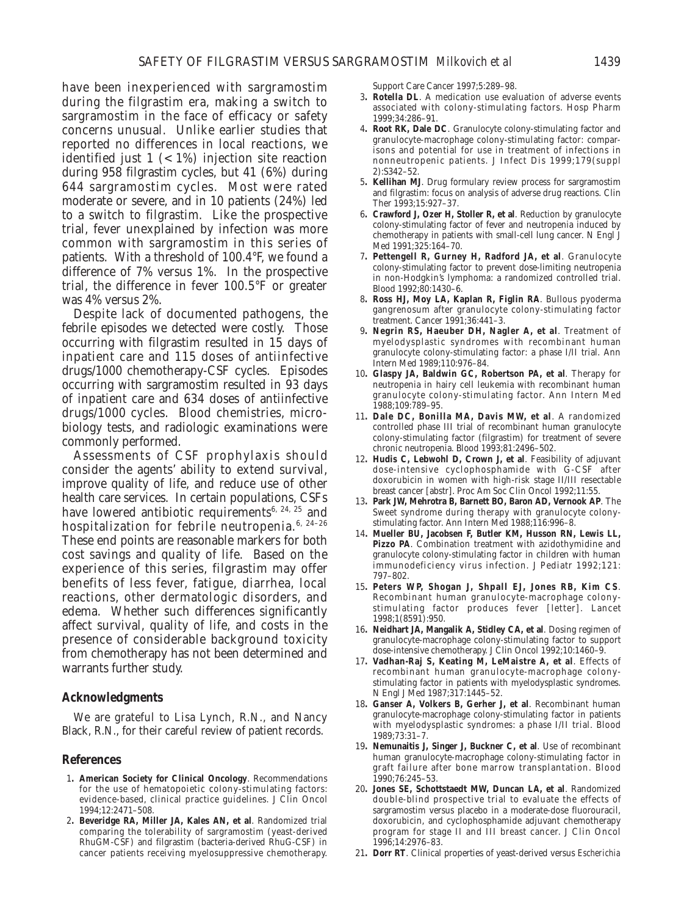have been inexperienced with sargramostim during the filgrastim era, making a switch to sargramostim in the face of efficacy or safety concerns unusual. Unlike earlier studies that reported no differences in local reactions, we identified just  $1$  (< 1%) injection site reaction during 958 filgrastim cycles, but 41 (6%) during 644 sargramostim cycles. Most were rated moderate or severe, and in 10 patients (24%) led to a switch to filgrastim. Like the prospective trial, fever unexplained by infection was more common with sargramostim in this series of patients. With a threshold of 100.4°F, we found a difference of 7% versus 1%. In the prospective trial, the difference in fever 100.5°F or greater was 4% versus 2%.

Despite lack of documented pathogens, the febrile episodes we detected were costly. Those occurring with filgrastim resulted in 15 days of inpatient care and 115 doses of antiinfective drugs/1000 chemotherapy-CSF cycles. Episodes occurring with sargramostim resulted in 93 days of inpatient care and 634 doses of antiinfective drugs/1000 cycles. Blood chemistries, microbiology tests, and radiologic examinations were commonly performed.

Assessments of CSF prophylaxis should consider the agents' ability to extend survival, improve quality of life, and reduce use of other health care services. In certain populations, CSFs have lowered antibiotic requirements<sup>6, 24, 25</sup> and hospitalization for febrile neutropenia.<sup>6, 24-26</sup> These end points are reasonable markers for both cost savings and quality of life. Based on the experience of this series, filgrastim may offer benefits of less fever, fatigue, diarrhea, local reactions, other dermatologic disorders, and edema. Whether such differences significantly affect survival, quality of life, and costs in the presence of considerable background toxicity from chemotherapy has not been determined and warrants further study.

# **Acknowledgments**

We are grateful to Lisa Lynch, R.N., and Nancy Black, R.N., for their careful review of patient records.

#### **References**

- 1**. American Society for Clinical Oncology**. Recommendations for the use of hematopoietic colony-stimulating factors: evidence-based, clinical practice guidelines. J Clin Oncol 1994;12:2471–508.
- 2**. Beveridge RA, Miller JA, Kales AN, et al**. Randomized trial comparing the tolerability of sargramostim (yeast-derived RhuGM-CSF) and filgrastim (bacteria-derived RhuG-CSF) in cancer patients receiving myelosuppressive chemotherapy.

Support Care Cancer 1997;5:289–98.

- 3**. Rotella DL**. A medication use evaluation of adverse events associated with colony-stimulating factors. Hosp Pharm 1999;34:286–91.
- 4**. Root RK, Dale DC**. Granulocyte colony-stimulating factor and granulocyte-macrophage colony-stimulating factor: comparisons and potential for use in treatment of infections in nonneutropenic patients. J Infect Dis 1999;179(suppl 2):S342–52.
- 5**. Kellihan MJ**. Drug formulary review process for sargramostim and filgrastim: focus on analysis of adverse drug reactions. Clin Ther 1993;15:927–37.
- 6**. Crawford J, Ozer H, Stoller R, et al**. Reduction by granulocyte colony-stimulating factor of fever and neutropenia induced by chemotherapy in patients with small-cell lung cancer. N Engl J Med 1991;325:164–70.
- 7**. Pettengell R, Gurney H, Radford JA, et al**. Granulocyte colony-stimulating factor to prevent dose-limiting neutropenia in non-Hodgkin's lymphoma: a randomized controlled trial. Blood 1992;80:1430–6.
- 8**. Ross HJ, Moy LA, Kaplan R, Figlin RA**. Bullous pyoderma gangrenosum after granulocyte colony-stimulating factor treatment. Cancer 1991;36:441–3.
- 9**. Negrin RS, Haeuber DH, Nagler A, et al**. Treatment of myelodysplastic syndromes with recombinant human granulocyte colony-stimulating factor: a phase I/II trial. Ann Intern Med 1989;110:976–84.
- 10**. Glaspy JA, Baldwin GC, Robertson PA, et al**. Therapy for neutropenia in hairy cell leukemia with recombinant human granulocyte colony-stimulating factor. Ann Intern Med 1988;109:789–95.
- 11**. Dale DC, Bonilla MA, Davis MW, et al**. A randomized controlled phase III trial of recombinant human granulocyte colony-stimulating factor (filgrastim) for treatment of severe chronic neutropenia. Blood 1993;81:2496–502.
- 12**. Hudis C, Lebwohl D, Crown J, et al**. Feasibility of adjuvant dose-intensive cyclophosphamide with G-CSF after doxorubicin in women with high-risk stage II/III resectable breast cancer [abstr]. Proc Am Soc Clin Oncol 1992;11:55.
- 13**. Park JW, Mehrotra B, Barnett BO, Baron AD, Vernook AP**. The Sweet syndrome during therapy with granulocyte colonystimulating factor. Ann Intern Med 1988;116:996–8.
- 14**. Mueller BU, Jacobsen F, Butler KM, Husson RN, Lewis LL, Pizzo PA**. Combination treatment with azidothymidine and granulocyte colony-stimulating factor in children with human immunodeficiency virus infection. J Pediatr 1992;121: 797–802.
- 15**. Peters WP, Shogan J, Shpall EJ, Jones RB, Kim CS**. Recombinant human granulocyte-macrophage colonystimulating factor produces fever [letter]. Lancet 1998;1(8591):950.
- 16**. Neidhart JA, Mangalik A, Stidley CA, et al**. Dosing regimen of granulocyte-macrophage colony-stimulating factor to support dose-intensive chemotherapy. J Clin Oncol 1992;10:1460–9.
- 17**. Vadhan-Raj S, Keating M, LeMaistre A, et al**. Effects of recombinant human granulocyte-macrophage colonystimulating factor in patients with myelodysplastic syndromes. N Engl J Med 1987;317:1445–52.
- 18**. Ganser A, Volkers B, Gerher J, et al**. Recombinant human granulocyte-macrophage colony-stimulating factor in patients with myelodysplastic syndromes: a phase I/II trial. Blood 1989;73:31–7.
- 19**. Nemunaitis J, Singer J, Buckner C, et al**. Use of recombinant human granulocyte-macrophage colony-stimulating factor in graft failure after bone marrow transplantation. Blood 1990;76:245–53.
- 20**. Jones SE, Schottstaedt MW, Duncan LA, et al**. Randomized double-blind prospective trial to evaluate the effects of sargramostim versus placebo in a moderate-dose fluorouracil, doxorubicin, and cyclophosphamide adjuvant chemotherapy program for stage II and III breast cancer. J Clin Oncol 1996;14:2976–83.
- 21**. Dorr RT**. Clinical properties of yeast-derived versus *Escherichia*